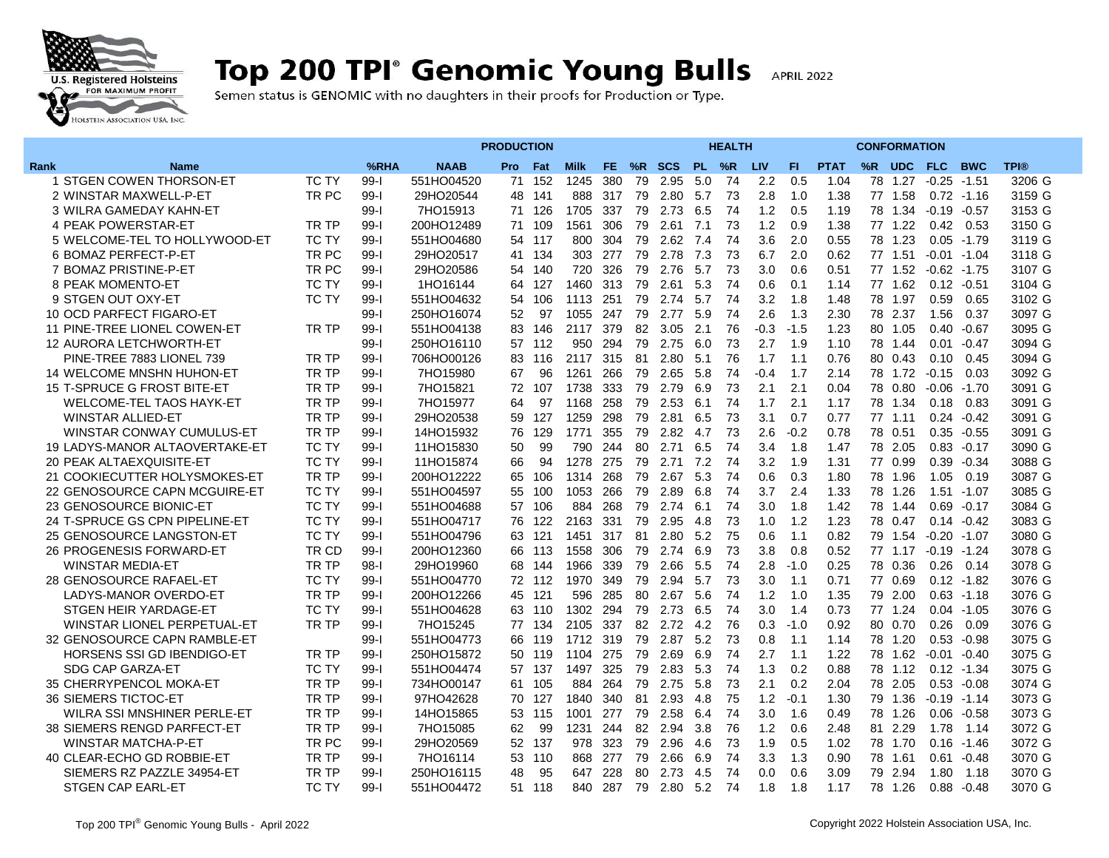

## Top 200 TPI<sup>®</sup> Genomic Young Bulls APRIL 2022

Semen status is GENOMIC with no daughters in their proofs for Production or Type.

|                                                 |          | PRODUCTION  |            |        |             |     |    | <b>HEALTH</b> |           |    | <b>CONFORMATION</b> |        |             |    |            |                |               |             |
|-------------------------------------------------|----------|-------------|------------|--------|-------------|-----|----|---------------|-----------|----|---------------------|--------|-------------|----|------------|----------------|---------------|-------------|
| Rank<br><b>Name</b>                             | %RHA     | <b>NAAB</b> | <b>Pro</b> | Fat    | <b>Milk</b> | FE. | %R | <b>SCS</b>    | <b>PL</b> | %R | <b>LIV</b>          | FI     | <b>PTAT</b> | %R | <b>UDC</b> | <b>FLC</b>     | <b>BWC</b>    | <b>TPI®</b> |
| 1 STGEN COWEN THORSON-ET<br><b>TC TY</b>        | $99-1$   | 551HO04520  |            | 71 152 | 1245        | 380 | 79 | 2.95          | 5.0       | 74 | 2.2                 | 0.5    | 1.04        |    | 78 1.27    | $-0.25 - 1.51$ |               | 3206 G      |
| TR PC<br>2 WINSTAR MAXWELL-P-ET                 | $99-1$   | 29HO20544   | 48         | 141    | 888         | 317 | 79 | 2.80          | 5.7       | 73 | 2.8                 | 1.0    | 1.38        |    | 77 1.58    |                | $0.72 - 1.16$ | 3159 G      |
| 3 WILRA GAMEDAY KAHN-ET                         | $99 - 1$ | 7HO15913    |            | 71 126 | 1705        | 337 | 79 | 2.73          | 6.5       | 74 | 1.2                 | 0.5    | 1.19        |    | 78 1.34    | $-0.19 - 0.57$ |               | 3153 G      |
| TR TP<br>4 PEAK POWERSTAR-ET                    | $99 - 1$ | 200HO12489  |            | 71 109 | 1561        | 306 | 79 | 2.61          | 7.1       | 73 | 1.2                 | 0.9    | 1.38        |    | 77 1.22    |                | $0.42$ 0.53   | 3150 G      |
| 5 WELCOME-TEL TO HOLLYWOOD-ET<br>TC TY          | $99 - 1$ | 551HO04680  |            | 54 117 | 800         | 304 | 79 | 2.62          | 7.4       | 74 | 3.6                 | 2.0    | 0.55        |    | 78 1.23    |                | $0.05 - 1.79$ | 3119 G      |
| TR PC<br>6 BOMAZ PERFECT-P-ET                   | $99 - 1$ | 29HO20517   |            | 41 134 | 303         | 277 | 79 | 2.78          | 7.3       | 73 | 6.7                 | 2.0    | 0.62        |    | 77 1.51    | $-0.01 - 1.04$ |               | 3118 G      |
| TR PC<br>7 BOMAZ PRISTINE-P-ET                  | $99 - 1$ | 29HO20586   |            | 54 140 | 720         | 326 | 79 | 2.76          | 5.7       | 73 | 3.0                 | 0.6    | 0.51        |    | 77 1.52    | $-0.62 -1.75$  |               | 3107 G      |
| 8 PEAK MOMENTO-ET<br>TC TY                      | $99 - 1$ | 1HO16144    |            | 64 127 | 1460        | 313 | 79 | 2.61          | 5.3       | 74 | 0.6                 | 0.1    | 1.14        |    | 77 1.62    | $0.12 - 0.51$  |               | 3104 G      |
| <b>TC TY</b><br>9 STGEN OUT OXY-ET              | $99-1$   | 551HO04632  | 54         | 106    | 1113        | 251 | 79 | 2.74          | 5.7       | 74 | 3.2                 | 1.8    | 1.48        |    | 78 1.97    | 0.59           | 0.65          | 3102 G      |
| 10 OCD PARFECT FIGARO-ET                        | $99-1$   | 250HO16074  | 52         | 97     | 1055        | 247 | 79 | 2.77          | 5.9       | 74 | 2.6                 | 1.3    | 2.30        |    | 78 2.37    | 1.56           | 0.37          | 3097 G      |
| 11 PINE-TREE LIONEL COWEN-ET<br>TR TP           | $99-I$   | 551HO04138  |            | 83 146 | 2117        | 379 | 82 | 3.05          | 2.1       | 76 | $-0.3$              | $-1.5$ | 1.23        |    | 80 1.05    |                | $0.40 -0.67$  | 3095 G      |
| 12 AURORA LETCHWORTH-ET                         | $99-I$   | 250HO16110  |            | 57 112 | 950         | 294 | 79 | 2.75          | 6.0       | 73 | 2.7                 | 1.9    | 1.10        |    | 78 1.44    |                | $0.01 - 0.47$ | 3094 G      |
| TR TP<br>PINE-TREE 7883 LIONEL 739              | $99-I$   | 706HO00126  |            | 83 116 | 2117        | 315 | 81 | 2.80          | 5.1       | 76 | 1.7                 | 1.1    | 0.76        |    | 80 0.43    | 0.10           | 0.45          | 3094 G      |
| <b>14 WELCOME MNSHN HUHON-ET</b><br>TR TP       | $99-I$   | 7HO15980    | 67         | 96     | 1261        | 266 | 79 | 2.65          | 5.8       | 74 | $-0.4$              | 1.7    | 2.14        |    | 78 1.72    | $-0.15$        | 0.03          | 3092 G      |
| <b>TR TP</b><br>15 T-SPRUCE G FROST BITE-ET     | $99-I$   | 7HO15821    |            | 72 107 | 1738        | 333 | 79 | 2.79          | 6.9       | 73 | 2.1                 | 2.1    | 0.04        |    | 78 0.80    | $-0.06 -1.70$  |               | 3091 G      |
| <b>TR TP</b><br><b>WELCOME-TEL TAOS HAYK-ET</b> | $99-I$   | 7HO15977    | 64         | 97     | 1168        | 258 | 79 | 2.53          | 6.1       | 74 | 1.7                 | 2.1    | 1.17        |    | 78 1.34    | 0.18           | 0.83          | 3091 G      |
| <b>TR TP</b><br><b>WINSTAR ALLIED-ET</b>        | $99-I$   | 29HO20538   | 59         | 127    | 1259        | 298 | 79 | 2.81          | 6.5       | 73 | 3.1                 | 0.7    | 0.77        |    | 77 1.11    |                | $0.24 - 0.42$ | 3091 G      |
| <b>TR TP</b><br>WINSTAR CONWAY CUMULUS-ET       | $99-1$   | 14HO15932   | 76         | 129    | 1771        | 355 | 79 | 2.82          | 4.7       | 73 | 2.6                 | $-0.2$ | 0.78        |    | 78 0.51    | 0.35           | $-0.55$       | 3091 G      |
| 19 LADYS-MANOR ALTAOVERTAKE-ET<br><b>TC TY</b>  | $99 - 1$ | 11HO15830   | 50         | 99     | 790         | 244 | 80 | 2.71          | 6.5       | 74 | 3.4                 | 1.8    | 1.47        |    | 78 2.05    |                | $0.83 - 0.17$ | 3090 G      |
| <b>TC TY</b><br>20 PEAK ALTAEXQUISITE-ET        | $99-I$   | 11HO15874   | 66         | 94     | 1278        | 275 | 79 | 2.71          | 7.2       | 74 | 3.2                 | 1.9    | 1.31        |    | 77 0.99    |                | $0.39 - 0.34$ | 3088 G      |
| TR TP<br>21 COOKIECUTTER HOLYSMOKES-ET          | $99-I$   | 200HO12222  | 65         | 106    | 1314        | 268 | 79 | 2.67          | 5.3       | 74 | 0.6                 | 0.3    | 1.80        |    | 78 1.96    | 1.05           | 0.19          | 3087 G      |
| 22 GENOSOURCE CAPN MCGUIRE-ET<br>TC TY          | $99 - 1$ | 551HO04597  |            | 55 100 | 1053        | 266 | 79 | 2.89          | 6.8       | 74 | 3.7                 | 2.4    | 1.33        | 78 | 1.26       | 1.51           | -1.07         | 3085 G      |
| <b>TC TY</b><br>23 GENOSOURCE BIONIC-ET         | $99-I$   | 551HO04688  |            | 57 106 | 884         | 268 | 79 | 2.74          | 6.1       | 74 | 3.0                 | 1.8    | 1.42        |    | 78 1.44    |                | $0.69 - 0.17$ | 3084 G      |
| <b>TC TY</b><br>24 T-SPRUCE GS CPN PIPELINE-ET  | $99-I$   | 551HO04717  |            | 76 122 | 2163        | 331 | 79 | 2.95          | 4.8       | 73 | 1.0                 | 1.2    | 1.23        |    | 78 0.47    |                | $0.14 - 0.42$ | 3083 G      |
| 25 GENOSOURCE LANGSTON-ET<br><b>TC TY</b>       | $99-1$   | 551HO04796  |            | 63 121 | 1451        | 317 | 81 | 2.80          | 5.2       | 75 | 0.6                 | 1.1    | 0.82        |    | 79 1.54    | $-0.20 -1.07$  |               | 3080 G      |
| 26 PROGENESIS FORWARD-ET<br>TR CD               | $99-1$   | 200HO12360  |            | 66 113 | 1558        | 306 | 79 | 2.74          | 6.9       | 73 | 3.8                 | 0.8    | 0.52        |    | 77 1.17    | $-0.19 - 1.24$ |               | 3078 G      |
| TR TP<br><b>WINSTAR MEDIA-ET</b>                | $98-1$   | 29HO19960   |            | 68 144 | 1966        | 339 | 79 | 2.66          | 5.5       | 74 | 2.8                 | $-1.0$ | 0.25        |    | 78 0.36    | 0.26           | 0.14          | 3078 G      |
| 28 GENOSOURCE RAFAEL-ET<br>TC TY                | $99-I$   | 551HO04770  |            | 72 112 | 1970        | 349 | 79 | 2.94          | 5.7       | 73 | 3.0                 | 1.1    | 0.71        |    | 77 0.69    |                | $0.12 - 1.82$ | 3076 G      |
| TR TP<br>LADYS-MANOR OVERDO-ET                  | $99 - 1$ | 200HO12266  |            | 45 121 | 596         | 285 | 80 | 2.67          | 5.6       | 74 | 1.2                 | 1.0    | 1.35        |    | 79 2.00    |                | $0.63 - 1.18$ | 3076 G      |
| <b>TC TY</b><br>STGEN HEIR YARDAGE-ET           | $99-I$   | 551HO04628  |            | 63 110 | 1302        | 294 | 79 | 2.73          | 6.5       | 74 | 3.0                 | 1.4    | 0.73        |    | 77 1.24    |                | $0.04 - 1.05$ | 3076 G      |
| <b>TR TP</b><br>WINSTAR LIONEL PERPETUAL-ET     | $99-I$   | 7HO15245    |            | 77 134 | 2105        | 337 | 82 | 2.72          | 4.2       | 76 | 0.3                 | $-1.0$ | 0.92        |    | 80 0.70    | 0.26           | 0.09          | 3076 G      |
| 32 GENOSOURCE CAPN RAMBLE-ET                    | $99 - 1$ | 551HO04773  |            | 66 119 | 1712        | 319 | 79 | 2.87          | 5.2       | 73 | 0.8                 | 1.1    | 1.14        |    | 78 1.20    |                | $0.53 - 0.98$ | 3075 G      |
| HORSENS SSI GD IBENDIGO-ET<br>TR TP             | $99-1$   | 250HO15872  |            | 50 119 | 1104        | 275 | 79 | 2.69          | 6.9       | 74 | 2.7                 | 1.1    | 1.22        |    | 78 1.62    | $-0.01 - 0.40$ |               | 3075 G      |
| <b>TC TY</b><br>SDG CAP GARZA-ET                | $99-1$   | 551HO04474  |            | 57 137 | 1497        | 325 | 79 | 2.83          | 5.3       | 74 | 1.3                 | 0.2    | 0.88        |    | 78 1.12    |                | $0.12 - 1.34$ | 3075 G      |
| 35 CHERRYPENCOL MOKA-ET<br>TR TP                | $99-1$   | 734HO00147  |            | 61 105 | 884         | 264 | 79 | 2.75          | 5.8       | 73 | 2.1                 | 0.2    | 2.04        |    | 78 2.05    |                | $0.53 - 0.08$ | 3074 G      |
| TR TP<br><b>36 SIEMERS TICTOC-ET</b>            | $99 - 1$ | 97HO42628   |            | 70 127 | 1840        | 340 | 81 | 2.93          | 4.8       | 75 | 1.2                 | $-0.1$ | 1.30        |    | 79 1.36    | $-0.19 - 1.14$ |               | 3073 G      |
| WILRA SSI MNSHINER PERLE-ET<br>TR TP            | $99 - 1$ | 14HO15865   |            | 53 115 | 1001        | 277 | 79 | 2.58          | 6.4       | 74 | 3.0                 | 1.6    | 0.49        |    | 78 1.26    |                | $0.06 - 0.58$ | 3073 G      |
| TR TP<br><b>38 SIEMERS RENGD PARFECT-ET</b>     | $99-1$   | 7HO15085    | 62         | 99     | 1231        | 244 | 82 | 2.94          | 3.8       | 76 | 1.2                 | 0.6    | 2.48        |    | 81 2.29    | 1.78           | 1.14          | 3072 G      |
| TR PC<br><b>WINSTAR MATCHA-P-ET</b>             | $99 - 1$ | 29HO20569   | 52         | 137    | 978         | 323 | 79 | 2.96          | 4.6       | 73 | 1.9                 | 0.5    | 1.02        |    | 78 1.70    | 0.16           | $-1.46$       | 3072 G      |
| <b>TR TP</b><br>40 CLEAR-ECHO GD ROBBIE-ET      | $99 - 1$ | 7HO16114    |            | 53 110 | 868         | 277 | 79 | 2.66          | 6.9       | 74 | 3.3                 | 1.3    | 0.90        |    | 78 1.61    |                | $0.61 - 0.48$ | 3070 G      |
| <b>TR TP</b><br>SIEMERS RZ PAZZLE 34954-ET      | $99-1$   | 250HO16115  | 48         | 95     | 647         | 228 | 80 | 2.73          | 4.5       | 74 | 0.0                 | 0.6    | 3.09        |    | 79 2.94    | 1.80           | 1.18          | 3070 G      |
| STGEN CAP EARL-ET<br><b>TC TY</b>               | $99 - 1$ | 551HO04472  |            | 51 118 | 840         | 287 | 79 | 2.80          | 5.2       | 74 | 1.8                 | 1.8    | 1.17        |    | 78 1.26    | 0.88           | $-0.48$       | 3070 G      |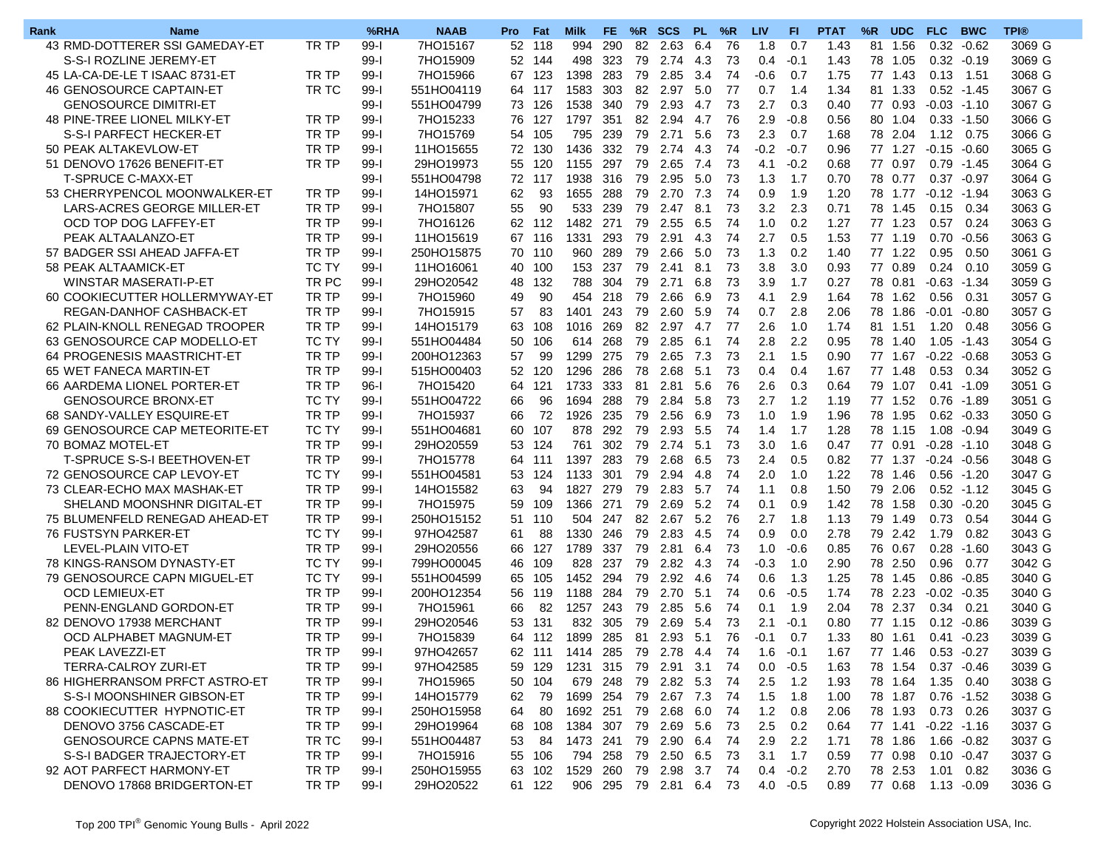| Rank | <b>Name</b>                        |              | %RHA     | <b>NAAB</b> | <b>Pro</b> | Fat    | <b>Milk</b>             | FE.     | %R | <b>SCS</b>             | PL.   | %R   | <b>LIV</b>  | FI.        | <b>PTAT</b> | %R      | <b>UDC</b> | <b>FLC</b>          | <b>BWC</b>    | <b>TPI®</b> |
|------|------------------------------------|--------------|----------|-------------|------------|--------|-------------------------|---------|----|------------------------|-------|------|-------------|------------|-------------|---------|------------|---------------------|---------------|-------------|
|      | 43 RMD-DOTTERER SSI GAMEDAY-ET     | TR TP        | $99-1$   | 7HO15167    | 52         | 118    | 994                     | 290     | 82 | 2.63                   | 6.4   | 76   | 1.8         | 0.7        | 1.43        | 81      | 1.56       | 0.32                | $-0.62$       | 3069 G      |
|      | S-S-I ROZLINE JEREMY-ET            |              | $99-1$   | 7HO15909    | 52         | 144    | 498                     | 323     | 79 | 2.74                   | 4.3   | -73  | 0.4         | $-0.1$     | 1.43        |         | 78 1.05    |                     | $0.32 - 0.19$ | 3069 G      |
|      | 45 LA-CA-DE-LE T ISAAC 8731-ET     | TR TP        | 99-l     | 7HO15966    | 67         | 123    | 1398                    | 283     | 79 | 2.85                   | 3.4   | 74   | $-0.6$      | 0.7        | 1.75        | 77      | 1.43       | 0.13                | 1.51          | 3068 G      |
|      | 46 GENOSOURCE CAPTAIN-ET           | TR TC        | $99-I$   | 551HO04119  | 64         | 117    | 1583                    | 303     | 82 | 2.97                   | 5.0   | 77   | 0.7         | 1.4        | 1.34        | 81      | 1.33       |                     | $0.52 - 1.45$ | 3067 G      |
|      | <b>GENOSOURCE DIMITRI-ET</b>       |              | 99-l     | 551HO04799  |            | 73 126 | 1538                    | 340     | 79 | 2.93                   | 4.7   | 73   | 2.7         | 0.3        | 0.40        |         | 77 0.93    | $-0.03 -1.10$       |               | 3067 G      |
|      | 48 PINE-TREE LIONEL MILKY-ET       | TR TP        | 99-l     | 7HO15233    | 76         | 127    | 1797                    | 351     | 82 | 2.94                   | 4.7   | 76   | 2.9         | $-0.8$     | 0.56        |         | 80 1.04    |                     | $0.33 - 1.50$ | 3066 G      |
|      | S-S-I PARFECT HECKER-ET            | TR TP        | 99-l     | 7HO15769    | 54         | 105    | 795                     | 239     | 79 | 2.71                   | 5.6   | 73   | 2.3         | 0.7        | 1.68        |         | 78 2.04    |                     | 1.12 0.75     | 3066 G      |
|      | 50 PEAK ALTAKEVLOW-ET              | TR TP        | 99-l     | 11HO15655   | 72         | 130    | 1436                    | 332     | 79 | 2.74                   | 4.3   | 74   | $-0.2$      | $-0.7$     | 0.96        | 77      | 1.27       | $-0.15$             | $-0.60$       | 3065 G      |
|      | 51 DENOVO 17626 BENEFIT-ET         | TR TP        | 99-l     | 29HO19973   | 55         | 120    | 1155                    | 297     | 79 | 2.65                   | 7.4   | 73   | 4.1         | $-0.2$     | 0.68        |         | 77 0.97    | 0.79                | -1.45         | 3064 G      |
|      | <b>T-SPRUCE C-MAXX-ET</b>          |              | 99-l     | 551HO04798  | 72         | 117    | 1938 316                |         | 79 | 2.95                   | 5.0   | 73   | 1.3         | 1.7        | 0.70        |         | 78 0.77    |                     | $0.37 - 0.97$ | 3064 G      |
|      | 53 CHERRYPENCOL MOONWALKER-ET      | TR TP        | $99-I$   | 14HO15971   | 62         | 93     | 1655 288                |         | 79 | 2.70                   | 7.3   | 74   | 0.9         | 1.9        | 1.20        | 78      | 1.77       | $-0.12 - 1.94$      |               | 3063 G      |
|      | <b>LARS-ACRES GEORGE MILLER-ET</b> | TR TP        | 99-l     | 7HO15807    | 55         | 90     | 533                     | 239     | 79 | 2.47                   | 8.1   | 73   | 3.2         | 2.3        | 0.71        | 78      | 1.45       | 0.15                | 0.34          | 3063 G      |
|      | OCD TOP DOG LAFFEY-ET              | TR TP        | 99-l     | 7HO16126    | 62         | 112    | 1482 271                |         | 79 | 2.55                   | 6.5   | 74   | 1.0         | 0.2        | 1.27        |         | 77 1.23    | 0.57                | 0.24          | 3063 G      |
|      | PEAK ALTAALANZO-ET                 | TR TP        | 99-l     | 11HO15619   |            | 67 116 | 1331                    | 293     | 79 | 2.91                   | 4.3   | 74   | 2.7         | 0.5        | 1.53        |         | 77 1.19    | 0.70                | $-0.56$       | 3063 G      |
|      | 57 BADGER SSI AHEAD JAFFA-ET       | TR TP        | 99-l     | 250HO15875  | 70         | 110    | 960                     | 289     | 79 | 2.66                   | 5.0   | 73   | 1.3         | 0.2        | 1.40        |         | 77 1.22    | 0.95                | 0.50          | 3061 G      |
|      | <b>58 PEAK ALTAAMICK-ET</b>        | TC TY        | 99-l     | 11HO16061   | 40         | 100    | 153                     | 237     | 79 | 2.41                   | 8.1   | 73   | 3.8         | 3.0        | 0.93        | 77      | 0.89       | 0.24                | 0.10          | 3059 G      |
|      | <b>WINSTAR MASERATI-P-ET</b>       | TR PC        | 99-l     | 29HO20542   | 48         | 132    | 788                     | 304     | 79 | 2.71                   | 6.8   | 73   | 3.9         | 1.7        | 0.27        |         | 78 0.81    | $-0.63$             | -1.34         | 3059 G      |
|      | 60 COOKIECUTTER HOLLERMYWAY-ET     | TR TP        | 99-l     | 7HO15960    | 49         | 90     | 454                     | 218     | 79 | 2.66                   | 6.9   | 73   | 4.1         | 2.9        | 1.64        | 78      | 1.62       | 0.56                | 0.31          | 3057 G      |
|      | REGAN-DANHOF CASHBACK-ET           | TR TP        | 99-l     | 7HO15915    | 57         | 83     | 1401                    | 243     | 79 | 2.60                   | 5.9   | 74   | 0.7         | 2.8        | 2.06        | 78      | 1.86       | $-0.01$             | $-0.80$       | 3057 G      |
|      | 62 PLAIN-KNOLL RENEGAD TROOPER     | TR TP        | 99-l     | 14HO15179   | 63         | 108    | 1016                    | 269     | 82 | 2.97                   | 4.7   | 77   | 2.6         | 1.0        | 1.74        | 81      | 1.51       | 1.20                | 0.48          | 3056 G      |
|      | 63 GENOSOURCE CAP MODELLO-ET       | <b>TC TY</b> | 99-l     | 551HO04484  | 50         | 106    | 614                     | 268     | 79 | 2.85                   | 6.1   | 74   | 2.8         | 2.2        | 0.95        | 78      | 1.40       | 1.05                | $-1.43$       | 3054 G      |
|      | 64 PROGENESIS MAASTRICHT-ET        | TR TP        | 99-l     | 200HO12363  | 57         | 99     | 1299                    | 275     | 79 | 2.65                   | 7.3   | 73   | 2.1         | 1.5        | 0.90        |         | 77 1.67    | $-0.22$             | $-0.68$       | 3053 G      |
|      | 65 WET FANECA MARTIN-ET            | TR TP        | $99 - 1$ | 515HO00403  | 52         | 120    | 1296                    | 286     | 78 | 2.68                   | -5.1  | 73   | 0.4         | 0.4        | 1.67        |         | 77 1.48    | 0.53                | 0.34          | 3052 G      |
|      | 66 AARDEMA LIONEL PORTER-ET        | TR TP        | 96-l     | 7HO15420    | 64         | 121    | 1733                    | 333     | 81 | 2.81                   | 5.6   | 76   | 2.6         | 0.3        | 0.64        | 79      | 1.07       | 0.41                | $-1.09$       | 3051 G      |
|      | <b>GENOSOURCE BRONX-ET</b>         | <b>TC TY</b> | $99 - 1$ | 551HO04722  | 66         | 96     | 1694                    | 288     | 79 | 2.84                   | 5.8   | 73   | 2.7         | 1.2        | 1.19        | 77 1.52 |            | 0.76                | -1.89         | 3051 G      |
|      | 68 SANDY-VALLEY ESQUIRE-ET         | TR TP        | 99-l     | 7HO15937    | 66         | 72     | 1926                    | 235     | 79 | 2.56                   | 6.9   | 73   | 1.0         | 1.9        | 1.96        | 78      | 1.95       |                     | $0.62 - 0.33$ | 3050 G      |
|      | 69 GENOSOURCE CAP METEORITE-ET     | <b>TC TY</b> | 99-l     | 551HO04681  | 60         | 107    | 878                     | 292     | 79 | 2.93                   | - 5.5 | 74   | 1.4         | 1.7        | 1.28        |         | 78 1.15    |                     | $1.08 - 0.94$ | 3049 G      |
|      | 70 BOMAZ MOTEL-ET                  | TR TP        | 99-l     | 29HO20559   | 53         | 124    | 761                     | 302     | 79 | 2.74                   | 5.1   | 73   | 3.0         | 1.6        | 0.47        |         | 77 0.91    | $-0.28$             | $-1.10$       | 3048 G      |
|      | T-SPRUCE S-S-I BEETHOVEN-ET        | TR TP        | 99-l     | 7HO15778    | 64         | 111    | 1397                    | 283     | 79 | 2.68                   | 6.5   | 73   | 2.4         | 0.5        | 0.82        |         | 77 1.37    | $-0.24 -0.56$       |               | 3048 G      |
|      | 72 GENOSOURCE CAP LEVOY-ET         | <b>TC TY</b> | 99-l     | 551HO04581  | 53         | 124    | 1133                    | 301     | 79 | 2.94                   | 4.8   | 74   | 2.0         | 1.0        | 1.22        |         | 78 1.46    |                     | $0.56 - 1.20$ | 3047 G      |
|      | 73 CLEAR-ECHO MAX MASHAK-ET        | TR TP        | 99-l     | 14HO15582   | 63         | 94     | 1827                    | 279     | 79 | 2.83                   | 5.7   | -74  | 1.1         | 0.8        | 1.50        |         | 79 2.06    |                     | $0.52 - 1.12$ | 3045 G      |
|      | SHELAND MOONSHNR DIGITAL-ET        | TR TP        | 99-l     | 7HO15975    | 59         | 109    | 1366                    | 271     | 79 | 2.69                   | 5.2   | 74   | 0.1         | 0.9        | 1.42        | 78      | 1.58       | 0.30                | $-0.20$       | 3045 G      |
|      | 75 BLUMENFELD RENEGAD AHEAD-ET     | TR TP        | 99-l     | 250HO15152  | 51         | 110    | 504                     | 247     | 82 | 2.67                   | 5.2   | 76   | 2.7         | 1.8        | 1.13        | 79      | 1.49       | 0.73                | 0.54          | 3044 G      |
|      | 76 FUSTSYN PARKER-ET               | <b>TC TY</b> | 99-l     | 97HO42587   | 61         | 88     | 1330                    | 246     | 79 | 2.83                   | 4.5   | 74   | 0.9         | 0.0        | 2.78        |         | 79 2.42    | 1.79                | 0.82          | 3043 G      |
|      | LEVEL-PLAIN VITO-ET                | TR TP        | 99-l     | 29HO20556   | 66         | 127    | 1789                    | 337     | 79 | 2.81                   | 6.4   | 73   | 1.0         | $-0.6$     | 0.85        |         | 76 0.67    | 0.28                | $-1.60$       | 3043 G      |
|      | 78 KINGS-RANSOM DYNASTY-ET         | <b>TC TY</b> | 99-l     | 799HO00045  | 46         | 109    | 828                     | 237     | 79 | 2.82                   | 4.3   | 74   | $-0.3$      | 1.0        | 2.90        | 78      | 2.50       | 0.96                | 0.77          | 3042 G      |
|      | 79 GENOSOURCE CAPN MIGUEL-ET       | <b>TC TY</b> | 99-l     | 551HO04599  | 65         | 105    | 1452                    | 294     | 79 | 2.92                   | 4.6   | 74   | 0.6         | 1.3        | 1.25        | 78      | 1.45       | 0.86                | $-0.85$       | 3040 G      |
|      | <b>OCD LEMIEUX-ET</b>              | TR TP        | 99-l     | 200HO12354  | 56         | 119    | 1188                    | 284     | 79 | 2.70                   | 5.1   | 74   | 0.6         | $-0.5$     | 1.74        |         | 78 2.23    | $-0.02$             | $-0.35$       | 3040 G      |
|      | PENN-ENGLAND GORDON-ET             | TR TP        | 99-l     | 7HO15961    | 66         | 82     | 1257                    | 243     | 79 | 2.85                   | 5.6   | 74   | 0.1         | 1.9        | 2.04        |         | 78 2.37    | 0.34                | 0.21          | 3040 G      |
|      | 82 DENOVO 17938 MERCHANT           | TR TP        | 99-l     | 29HO20546   | 53         | 131    | 832                     | 305     | 79 | 2.69                   | 5.4   | 73   | 2.1         | $-0.1$     | 0.80        | 77 1.15 |            | 0.12                | -0.86         | 3039 G      |
|      | OCD ALPHABET MAGNUM-ET             | TR TP        | $99 - 1$ | 7HO15839    | 64         | 112    | 1899                    | 285     | 81 | 2.93                   | 5.1   | 76   | $-0.1$      | 0.7        | 1.33        | 80      | 1.61       |                     | $0.41 - 0.23$ | 3039 G      |
|      | PEAK LAVEZZI-ET                    | TR TP        | $99-1$   | 97HO42657   |            | 62 111 | 1414 285 79 2.78 4.4 74 |         |    |                        |       |      | $1.6 - 0.1$ |            | 1.67        |         |            | 77 1.46 0.53 -0.27  |               | 3039 G      |
|      | <b>TERRA-CALROY ZURI-ET</b>        | TR TP        | 99-l     | 97HO42585   |            | 59 129 | 1231 315                |         |    |                        |       |      | 0.0         | -0.5       | 1.63        |         |            | 78 1.54 0.37 -0.46  |               | 3039 G      |
|      | 86 HIGHERRANSOM PRFCT ASTRO-ET     | TR TP        | 99-l     | 7HO15965    |            | 50 104 |                         | 679 248 |    | 79 2.82 5.3            |       | - 74 | 2.5         | 1.2        | 1.93        |         | 78 1.64    | 1.35 0.40           |               | 3038 G      |
|      | S-S-I MOONSHINER GIBSON-ET         | TR TP        | $99 - 1$ | 14HO15779   | 62         | 79     | 1699 254                |         |    | 79 2.67 7.3            |       | - 74 | 1.5         | 1.8        | 1.00        |         | 78 1.87    | $0.76 - 1.52$       |               | 3038 G      |
|      | 88 COOKIECUTTER HYPNOTIC-ET        | TR TP        | 99-l     | 250HO15958  | 64         | 80     | 1692 251                |         |    | 79 2.68 6.0            |       | -74  | 1.2         | 0.8        | 2.06        |         | 78 1.93    |                     | $0.73$ 0.26   | 3037 G      |
|      | DENOVO 3756 CASCADE-ET             | TR TP        | 99-l     | 29HO19964   |            | 68 108 | 1384 307                |         |    | 79 2.69 5.6            |       | -73  | 2.5         | 0.2        | 0.64        |         |            | 77 1.41 -0.22 -1.16 |               | 3037 G      |
|      | <b>GENOSOURCE CAPNS MATE-ET</b>    | TR TC        | 99-l     | 551HO04487  | 53         | 84     | 1473 241                |         |    | 79 2.90 6.4            |       | - 74 | 2.9         | 2.2        | 1.71        |         | 78 1.86    |                     | $1.66 - 0.82$ | 3037 G      |
|      | S-S-I BADGER TRAJECTORY-ET         | TR TP        | $99 - 1$ | 7HO15916    |            | 55 106 | 794 258                 |         |    | 79 2.50 6.5            |       | -73  | 3.1         | 1.7        | 0.59        |         | 77 0.98    | $0.10 - 0.47$       |               | 3037 G      |
|      | 92 AOT PARFECT HARMONY-ET          | TR TP        | $99-I$   | 250HO15955  |            | 63 102 | 1529 260                |         |    | 79 2.98 3.7 74         |       |      | 0.4         | $-0.2$     | 2.70        |         | 78 2.53    | 1.01  0.82          |               | 3036 G      |
|      | DENOVO 17868 BRIDGERTON-ET         | TR TP        | $99 - 1$ | 29HO20522   |            | 61 122 |                         |         |    | 906 295 79 2.81 6.4 73 |       |      |             | $4.0 -0.5$ | 0.89        |         |            | 77 0.68 1.13 -0.09  |               | 3036 G      |
|      |                                    |              |          |             |            |        |                         |         |    |                        |       |      |             |            |             |         |            |                     |               |             |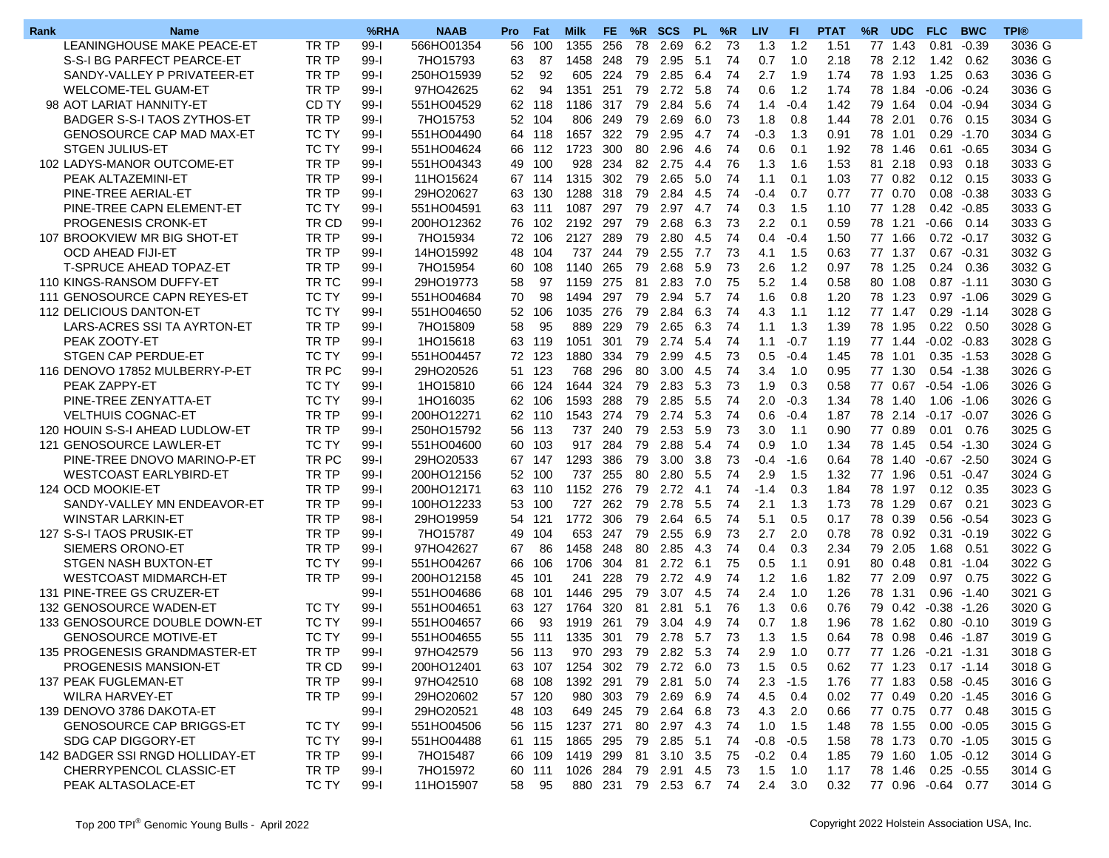| Rank | <b>Name</b>                      |              | %RHA     | <b>NAAB</b> | <b>Pro</b> | Fat    | <b>Milk</b>             | FE. | %R | <b>SCS</b>             | <b>PL</b> | %R   | <b>LIV</b> | FI.       | <b>PTAT</b> | %R | <b>UDC</b> | <b>FLC</b>          | <b>BWC</b>     | <b>TPI®</b> |
|------|----------------------------------|--------------|----------|-------------|------------|--------|-------------------------|-----|----|------------------------|-----------|------|------------|-----------|-------------|----|------------|---------------------|----------------|-------------|
|      | LEANINGHOUSE MAKE PEACE-ET       | TR TP        | 99-l     | 566HO01354  | 56         | 100    | 1355                    | 256 | 78 | 2.69                   | 6.2       | -73  | 1.3        | 1.2       | 1.51        | 77 | 1.43       | 0.81                | $-0.39$        | 3036 G      |
|      | S-S-I BG PARFECT PEARCE-ET       | TR TP        | $99-1$   | 7HO15793    | 63         | 87     | 1458                    | 248 | 79 | 2.95                   | 5.1       | -74  | 0.7        | 1.0       | 2.18        |    | 78 2.12    | 1.42                | 0.62           | 3036 G      |
|      | SANDY-VALLEY P PRIVATEER-ET      | TR TP        | $99-I$   | 250HO15939  | 52         | 92     | 605                     | 224 | 79 | 2.85                   | 6.4       | 74   | 2.7        | 1.9       | 1.74        | 78 | 1.93       | 1.25                | 0.63           | 3036 G      |
|      | <b>WELCOME-TEL GUAM-ET</b>       | TR TP        | $99 - 1$ | 97HO42625   | 62         | 94     | 1351                    | 251 | 79 | 2.72                   | 5.8       | 74   | 0.6        | 1.2       | 1.74        | 78 | 1.84       | $-0.06$             | $-0.24$        | 3036 G      |
|      | 98 AOT LARIAT HANNITY-ET         | CD TY        | $99-I$   | 551HO04529  | 62         | 118    | 1186 317                |     | 79 | 2.84                   | 5.6       | 74   | 1.4        | $-0.4$    | 1.42        | 79 | 1.64       |                     | $0.04 - 0.94$  | 3034 G      |
|      | BADGER S-S-I TAOS ZYTHOS-ET      | TR TP        | 99-l     | 7HO15753    | 52         | 104    | 806                     | 249 | 79 | 2.69                   | 6.0       | 73   | 1.8        | 0.8       | 1.44        |    | 78 2.01    | 0.76                | 0.15           | 3034 G      |
|      | <b>GENOSOURCE CAP MAD MAX-ET</b> | <b>TC TY</b> | 99-l     | 551HO04490  | 64         | 118    | 1657                    | 322 | 79 | 2.95                   | 4.7       | 74   | $-0.3$     | 1.3       | 0.91        | 78 | 1.01       | 0.29                | $-1.70$        | 3034 G      |
|      | <b>STGEN JULIUS-ET</b>           | <b>TC TY</b> | 99-l     | 551HO04624  | 66         | 112    | 1723                    | 300 | 80 | 2.96                   | 4.6       | 74   | 0.6        | 0.1       | 1.92        | 78 | 1.46       | 0.61                | $-0.65$        | 3034 G      |
|      | 102 LADYS-MANOR OUTCOME-ET       | TR TP        | 99-l     | 551HO04343  | 49         | 100    | 928                     | 234 |    | 82 2.75                | 4.4       | 76   | 1.3        | 1.6       | 1.53        |    | 81 2.18    | 0.93                | 0.18           | 3033 G      |
|      | PEAK ALTAZEMINI-ET               | TR TP        | 99-l     | 11HO15624   |            | 67 114 | 1315                    | 302 | 79 | 2.65                   | 5.0       | 74   | 1.1        | 0.1       | 1.03        |    | 77 0.82    | 0.12                | 0.15           | 3033 G      |
|      | PINE-TREE AERIAL-ET              | TR TP        | 99-l     | 29HO20627   | 63         | 130    | 1288                    | 318 | 79 | 2.84                   | 4.5       | 74   | $-0.4$     | 0.7       | 0.77        | 77 | 0.70       | 0.08                | $-0.38$        | 3033 G      |
|      | PINE-TREE CAPN ELEMENT-ET        | <b>TC TY</b> | 99-l     | 551HO04591  | 63         | 111    | 1087                    | 297 | 79 | 2.97                   | 4.7       | 74   | 0.3        | 1.5       | 1.10        |    | 77 1.28    | 0.42                | $-0.85$        | 3033 G      |
|      | PROGENESIS CRONK-ET              | TR CD        | $99 - 1$ | 200HO12362  | 76         | 102    | 2192 297                |     | 79 | 2.68                   | 6.3       | 73   | 2.2        | 0.1       | 0.59        | 78 | 1.21       | $-0.66$             | 0.14           | 3033 G      |
|      | 107 BROOKVIEW MR BIG SHOT-ET     | TR TP        | 99-l     | 7HO15934    | 72         | 106    | 2127                    | 289 | 79 | 2.80                   | 4.5       | 74   | 0.4        | $-0.4$    | 1.50        |    | 77 1.66    |                     | $0.72 - 0.17$  | 3032 G      |
|      | <b>OCD AHEAD FIJI-ET</b>         | TR TP        | 99-l     | 14HO15992   | 48         | 104    | 737                     | 244 | 79 | 2.55                   | 7.7       | 73   | 4.1        | 1.5       | 0.63        | 77 | 1.37       | 0.67                | $-0.31$        | 3032 G      |
|      | <b>T-SPRUCE AHEAD TOPAZ-ET</b>   | TR TP        | 99-l     | 7HO15954    | 60         | 108    | 1140                    | 265 | 79 | 2.68                   | 5.9       | 73   | 2.6        | 1.2       | 0.97        | 78 | 1.25       | 0.24                | 0.36           | 3032 G      |
|      | 110 KINGS-RANSOM DUFFY-ET        | TR TC        | 99-l     | 29HO19773   | 58         | 97     | 1159 275                |     | 81 | 2.83                   | 7.0       | 75   | 5.2        | 1.4       | 0.58        | 80 | 1.08       |                     | $0.87 - 1.11$  | 3030 G      |
|      | 111 GENOSOURCE CAPN REYES-ET     | TC TY        | 99-l     | 551HO04684  | 70         | 98     | 1494                    | 297 | 79 | 2.94                   | 5.7       | 74   | 1.6        | 0.8       | 1.20        |    | 78 1.23    |                     | $0.97 - 1.06$  | 3029 G      |
|      | 112 DELICIOUS DANTON-ET          | <b>TC TY</b> | 99-l     | 551HO04650  | 52         | 106    | 1035 276                |     | 79 | 2.84                   | 6.3       | 74   | 4.3        | 1.1       | 1.12        | 77 | 1.47       | 0.29                | $-1.14$        | 3028 G      |
|      | LARS-ACRES SSI TA AYRTON-ET      | TR TP        | 99-l     | 7HO15809    | 58         | 95     | 889                     | 229 | 79 | 2.65                   | 6.3       | 74   | 1.1        | 1.3       | 1.39        | 78 | 1.95       | 0.22                | 0.50           | 3028 G      |
|      | PEAK ZOOTY-ET                    | TR TP        | 99-l     | 1HO15618    | 63         | 119    | 1051                    | 301 | 79 | 2.74                   | 5.4       | 74   | 1.1        | $-0.7$    | 1.19        |    | 77 1.44    | $-0.02$             | $-0.83$        | 3028 G      |
|      | STGEN CAP PERDUE-ET              | TC TY        | 99-l     | 551HO04457  | 72         | 123    | 1880                    | 334 | 79 | 2.99                   | 4.5       | 73   | 0.5        | $-0.4$    | 1.45        |    | 78 1.01    |                     | $0.35 - 1.53$  | 3028 G      |
|      | 116 DENOVO 17852 MULBERRY-P-ET   | TR PC        | 99-l     | 29HO20526   | 51         | 123    | 768                     | 296 | 80 | 3.00                   | 4.5       | 74   | 3.4        | 1.0       | 0.95        |    | 77 1.30    |                     | $0.54 - 1.38$  | 3026 G      |
|      | PEAK ZAPPY-ET                    | TC TY        | 99-l     | 1HO15810    | 66         | 124    | 1644                    | 324 | 79 | 2.83                   | 5.3       | 73   | 1.9        | 0.3       | 0.58        | 77 | 0.67       |                     | $-0.54 - 1.06$ | 3026 G      |
|      | PINE-TREE ZENYATTA-ET            | <b>TC TY</b> | 99-l     | 1HO16035    | 62         | 106    | 1593                    | 288 | 79 | 2.85                   | 5.5       | 74   | 2.0        | $-0.3$    | 1.34        | 78 | 1.40       |                     | $1.06 - 1.06$  | 3026 G      |
|      | <b>VELTHUIS COGNAC-ET</b>        | TR TP        | 99-l     | 200HO12271  | 62         | 110    | 1543                    | 274 | 79 | 2.74                   | 5.3       | 74   | 0.6        | $-0.4$    | 1.87        | 78 | 2.14       | $-0.17 - 0.07$      |                | 3026 G      |
|      | 120 HOUIN S-S-I AHEAD LUDLOW-ET  | TR TP        | 99-l     | 250HO15792  | 56         | 113    | 737                     | 240 | 79 | 2.53                   | 5.9       | 73   | 3.0        | 1.1       | 0.90        |    | 77 0.89    | 0.01                | 0.76           | 3025 G      |
|      | 121 GENOSOURCE LAWLER-ET         | TC TY        | 99-l     | 551HO04600  | 60         | 103    | 917                     | 284 | 79 | 2.88                   | 5.4       | 74   | 0.9        | 1.0       | 1.34        | 78 | 1.45       |                     | $0.54 - 1.30$  | 3024 G      |
|      | PINE-TREE DNOVO MARINO-P-ET      | TR PC        | $99 - 1$ | 29HO20533   | 67         | 147    | 1293                    | 386 | 79 | 3.00                   | 3.8       | 73   | $-0.4$     | $-1.6$    | 0.64        | 78 | 1.40       | $-0.67 -2.50$       |                | 3024 G      |
|      | <b>WESTCOAST EARLYBIRD-ET</b>    | TR TP        | $99 - 1$ | 200HO12156  | 52         | 100    | 737                     | 255 | 80 | 2.80                   | 5.5       | 74   | 2.9        | 1.5       | 1.32        |    | 77 1.96    | 0.51                | -0.47          | 3024 G      |
|      | 124 OCD MOOKIE-ET                | TR TP        | $99 - 1$ | 200HO12171  | 63         | 110    | 1152 276                |     | 79 | 2.72                   | 4.1       | 74   | $-1.4$     | 0.3       | 1.84        |    | 78 1.97    | 0.12                | 0.35           | 3023 G      |
|      | SANDY-VALLEY MN ENDEAVOR-ET      | TR TP        | $99 - 1$ | 100HO12233  | 53         | 100    | 727                     | 262 | 79 | 2.78                   | 5.5       | 74   | 2.1        | 1.3       | 1.73        | 78 | 1.29       | 0.67                | 0.21           | 3023 G      |
|      | WINSTAR LARKIN-ET                | TR TP        | $98-1$   | 29HO19959   | 54         | 121    | 1772                    | 306 | 79 | 2.64                   | 6.5       | 74   | 5.1        | 0.5       | 0.17        | 78 | 0.39       | 0.56                | $-0.54$        | 3023 G      |
|      | 127 S-S-I TAOS PRUSIK-ET         | TR TP        | 99-l     | 7HO15787    | 49         | 104    | 653 247                 |     | 79 | 2.55                   | 6.9       | 73   | 2.7        | 2.0       | 0.78        |    | 78 0.92    | 0.31                | $-0.19$        | 3022 G      |
|      | SIEMERS ORONO-ET                 | TR TP        | 99-l     | 97HO42627   | 67         | 86     | 1458                    | 248 | 80 | 2.85                   | 4.3       | 74   | 0.4        | 0.3       | 2.34        |    | 79 2.05    | 1.68                | 0.51           | 3022 G      |
|      | <b>STGEN NASH BUXTON-ET</b>      | <b>TC TY</b> | 99-l     | 551HO04267  | 66         | 106    | 1706                    | 304 | 81 | 2.72                   | 6.1       | 75   | 0.5        | 1.1       | 0.91        | 80 | 0.48       | 0.81                | $-1.04$        | 3022 G      |
|      | <b>WESTCOAST MIDMARCH-ET</b>     | TR TP        | $99 - 1$ | 200HO12158  | 45         | 101    | 241                     | 228 | 79 | 2.72                   | 4.9       | 74   | 1.2        | 1.6       | 1.82        | 77 | 2.09       | 0.97                | 0.75           | 3022 G      |
|      | 131 PINE-TREE GS CRUZER-ET       |              | 99-l     | 551HO04686  | 68         | 101    | 1446                    | 295 | 79 | 3.07                   | 4.5       | 74   | 2.4        | 1.0       | 1.26        | 78 | 1.31       | 0.96                | $-1.40$        | 3021 G      |
|      | 132 GENOSOURCE WADEN-ET          | TC TY        | 99-l     | 551HO04651  | 63         | 127    | 1764                    | 320 | 81 | 2.81                   | 5.1       | 76   | 1.3        | 0.6       | 0.76        |    | 79 0.42    | $-0.38 - 1.26$      |                | 3020 G      |
|      | 133 GENOSOURCE DOUBLE DOWN-ET    | <b>TC TY</b> | 99-l     | 551HO04657  | 66         | 93     | 1919                    | 261 | 79 | 3.04                   | 4.9       | 74   | 0.7        | 1.8       | 1.96        | 78 | 1.62       | 0.80                | $-0.10$        | 3019 G      |
|      | <b>GENOSOURCE MOTIVE-ET</b>      | TC TY        | 99-l     | 551HO04655  | 55         | 111    | 1335                    | 301 | 79 | 2.78                   | 5.7       | 73   | 1.3        | 1.5       | 0.64        |    | 78 0.98    |                     | $0.46 - 1.87$  | 3019 G      |
|      | 135 PROGENESIS GRANDMASTER-ET    | TR TP        | 99-1     | 97HO42579   |            | 56 113 |                         |     |    | 970 293 79 2.82 5.3    |           | 74   | 2.9        | 1.0       | 0.77        |    |            | 77 1.26 -0.21 -1.31 |                | 3018 G      |
|      | PROGENESIS MANSION-ET            | TR CD        | 99-l     | 200HO12401  |            | 63 107 | 1254 302 79 2.72 6.0 73 |     |    |                        |           |      | 1.5        | 0.5       | 0.62        |    | 77 1.23    |                     | $0.17 - 1.14$  | 3018 G      |
|      | 137 PEAK FUGLEMAN-ET             | TR TP        | 99-l     | 97HO42510   |            | 68 108 | 1392 291                |     |    | 79 2.81 5.0            |           | -74  | 2.3        | $-1.5$    | 1.76        |    | 77 1.83    |                     | $0.58 - 0.45$  | 3016 G      |
|      | <b>WILRA HARVEY-ET</b>           | TR TP        | $99-1$   | 29HO20602   |            | 57 120 | 980 303                 |     |    | 79 2.69 6.9            |           | - 74 | 4.5        | 0.4       | 0.02        |    | 77 0.49    |                     | $0.20 -1.45$   | 3016 G      |
|      | 139 DENOVO 3786 DAKOTA-ET        |              | $99-1$   | 29HO20521   |            | 48 103 | 649 245                 |     |    | 79  2.64  6.8          |           | - 73 | 4.3        | 2.0       | 0.66        |    | 77 0.75    |                     | $0.77$ 0.48    | 3015 G      |
|      | GENOSOURCE CAP BRIGGS-ET         | TC TY        | 99-l     | 551HO04506  |            | 56 115 | 1237 271                |     |    | 80 2.97 4.3            |           | - 74 | 1.0        | 1.5       | 1.48        |    | 78 1.55    |                     | $0.00 - 0.05$  | 3015 G      |
|      | SDG CAP DIGGORY-ET               | TC TY        | 99-l     | 551HO04488  |            | 61 115 | 1865 295                |     |    | 79  2.85  5.1          |           | - 74 | $-0.8$     | $-0.5$    | 1.58        |    | 78 1.73    |                     | $0.70 - 1.05$  | 3015 G      |
|      | 142 BADGER SSI RNGD HOLLIDAY-ET  | TR TP        | $99 - 1$ | 7HO15487    |            | 66 109 | 1419 299                |     |    | 81 3.10 3.5            |           | - 75 | $-0.2$     | 0.4       | 1.85        |    | 79 1.60    |                     | $1.05 - 0.12$  | 3014 G      |
|      | CHERRYPENCOL CLASSIC-ET          | TR TP        | $99-I$   | 7HO15972    |            | 60 111 | 1026 284                |     |    | 79  2.91  4.5          |           | -73  | 1.5        | 1.0       | 1.17        |    | 78 1.46    |                     | $0.25 - 0.55$  | 3014 G      |
|      | PEAK ALTASOLACE-ET               | TC TY        | $99 - 1$ | 11HO15907   |            | 58 95  |                         |     |    | 880 231 79 2.53 6.7 74 |           |      |            | $2.4$ 3.0 | 0.32        |    |            | 77 0.96 -0.64 0.77  |                | 3014 G      |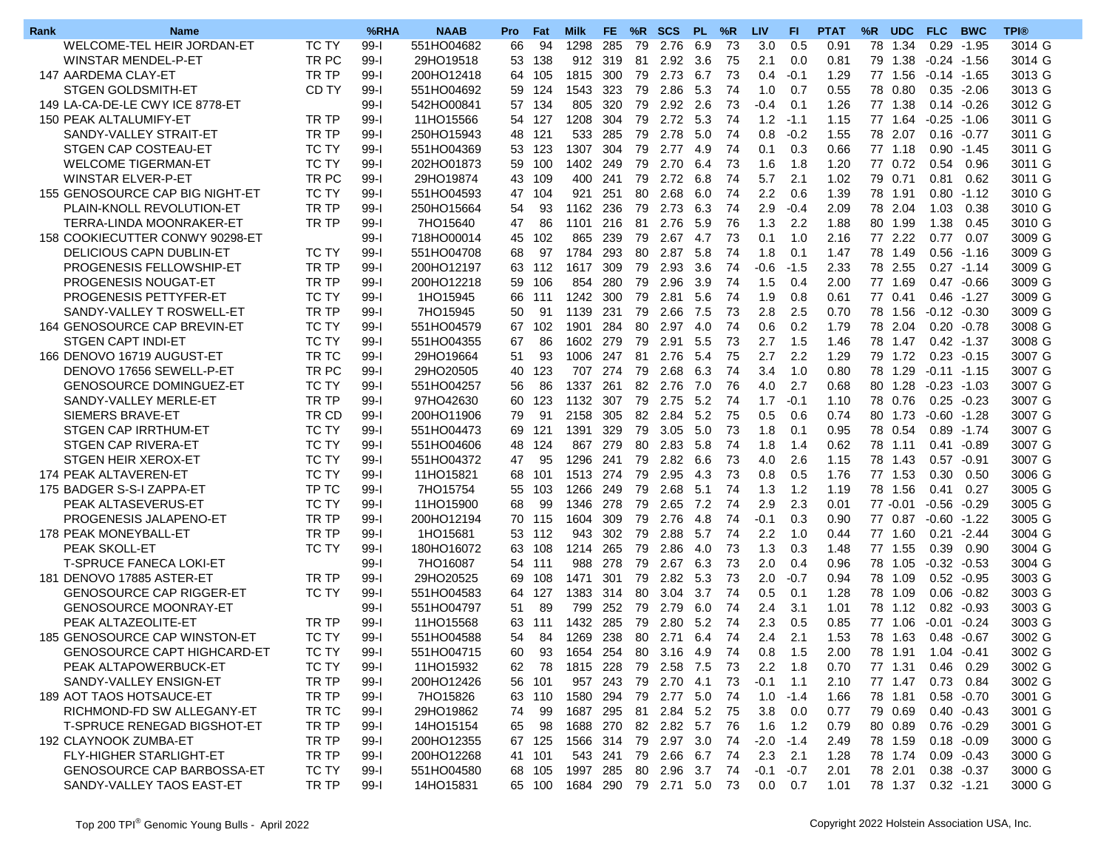| Rank | <b>Name</b>                        |              | %RHA     | <b>NAAB</b> | <b>Pro</b> | Fat    | Milk                           | FE.     | %R | <b>SCS</b>        | PL. | %R   | <b>LIV</b> | FI.             | <b>PTAT</b> | %R<br><b>UDC</b>   | <b>FLC</b>    | <b>BWC</b>     | <b>TPI®</b> |
|------|------------------------------------|--------------|----------|-------------|------------|--------|--------------------------------|---------|----|-------------------|-----|------|------------|-----------------|-------------|--------------------|---------------|----------------|-------------|
|      | WELCOME-TEL HEIR JORDAN-ET         | TC TY        | $99-1$   | 551HO04682  | 66         | 94     | 1298                           | 285     | 79 | 2.76              | 6.9 | -73  | 3.0        | 0.5             | 0.91        | 78<br>1.34         | 0.29          | -1.95          | 3014 G      |
|      | WINSTAR MENDEL-P-ET                | TR PC        | 99-l     | 29HO19518   | 53         | 138    |                                | 912 319 | 81 | 2.92              | 3.6 | -75  | 2.1        | 0.0             | 0.81        | 79 1.38            | $-0.24 -1.56$ |                | 3014 G      |
|      | 147 AARDEMA CLAY-ET                | TR TP        | 99-l     | 200HO12418  | 64         | 105    | 1815                           | 300     | 79 | 2.73              | 6.7 | 73   | 0.4        | $-0.1$          | 1.29        | 77 1.56            | $-0.14$       | -1.65          | 3013 G      |
|      | <b>STGEN GOLDSMITH-ET</b>          | CD TY        | $99 - 1$ | 551HO04692  | 59         | 124    | 1543                           | 323     | 79 | 2.86              | 5.3 | 74   | 1.0        | 0.7             | 0.55        | 78<br>0.80         | 0.35          | $-2.06$        | 3013 G      |
|      | 149 LA-CA-DE-LE CWY ICE 8778-ET    |              | 99-l     | 542HO00841  | 57         | 134    | 805                            | 320     | 79 | 2.92              | 2.6 | 73   | $-0.4$     | 0.1             | 1.26        | 77 1.38            |               | $0.14 - 0.26$  | 3012 G      |
|      | 150 PEAK ALTALUMIFY-ET             | TR TP        | $99 - 1$ | 11HO15566   | 54         | 127    | 1208                           | 304     | 79 | 2.72              | 5.3 | -74  | 1.2        | $-1.1$          | 1.15        | 77 1.64            | $-0.25 -1.06$ |                | 3011 G      |
|      | SANDY-VALLEY STRAIT-ET             | TR TP        | $99-1$   | 250HO15943  | 48         | 121    | 533                            | 285     | 79 | 2.78              | 5.0 | 74   | 0.8        | $-0.2$          | 1.55        | 78 2.07            | 0.16          | $-0.77$        | 3011 G      |
|      | STGEN CAP COSTEAU-ET               | TC TY        | 99-l     | 551HO04369  | 53         | 123    | 1307                           | 304     | 79 | 2.77              | 4.9 | 74   | 0.1        | 0.3             | 0.66        | 77 1.18            | 0.90          | $-1.45$        | 3011 G      |
|      | <b>WELCOME TIGERMAN-ET</b>         | <b>TC TY</b> | 99-l     | 202HO01873  | 59         | 100    | 1402                           | 249     | 79 | 2.70              | 6.4 | -73  | 1.6        | 1.8             | 1.20        | 77 0.72            | 0.54          | 0.96           | 3011 G      |
|      | <b>WINSTAR ELVER-P-ET</b>          | TR PC        |          |             |            |        |                                |         |    |                   |     |      |            |                 |             |                    |               |                |             |
|      |                                    |              | 99-l     | 29HO19874   | 43         | 109    | 400                            | -241    | 79 | 2.72              | 6.8 | 74   | 5.7        | 2.1             | 1.02        | 79 0.71            | 0.81          | 0.62           | 3011 G      |
|      | 155 GENOSOURCE CAP BIG NIGHT-ET    | <b>TC TY</b> | 99-l     | 551HO04593  | 47         | 104    | 921                            | 251     | 80 | 2.68              | 6.0 | 74   | 2.2        | 0.6             | 1.39        | 78<br>1.91         | 0.80          | $-1.12$        | 3010 G      |
|      | PLAIN-KNOLL REVOLUTION-ET          | TR TP        | 99-l     | 250HO15664  | 54         | 93     | 1162                           | 236     | 79 | 2.73              | 6.3 | 74   | 2.9        | $-0.4$          | 2.09        | 78<br>2.04         | 1.03          | 0.38           | 3010 G      |
|      | <b>TERRA-LINDA MOONRAKER-ET</b>    | TR TP        | $99-1$   | 7HO15640    | 47         | 86     | 1101                           | 216     | 81 | 2.76              | 5.9 | 76   | 1.3        | 2.2             | 1.88        | 80 1.99            | 1.38          | 0.45           | 3010 G      |
|      | 158 COOKIECUTTER CONWY 90298-ET    |              | 99-l     | 718HO00014  | 45         | 102    |                                | 865 239 | 79 | 2.67              | 4.7 | -73  | 0.1        | 1.0             | 2.16        | 77 2.22            | 0.77          | 0.07           | 3009 G      |
|      | <b>DELICIOUS CAPN DUBLIN-ET</b>    | <b>TC TY</b> | $99 - 1$ | 551HO04708  | 68         | 97     | 1784                           | 293     | 80 | 2.87              | 5.8 | 74   | 1.8        | 0.1             | 1.47        | 78<br>1.49         | 0.56          | $-1.16$        | 3009 G      |
|      | PROGENESIS FELLOWSHIP-ET           | TR TP        | 99-l     | 200HO12197  | 63         | 112    | 1617                           | 309     | 79 | 2.93              | 3.6 | 74   | $-0.6$     | $-1.5$          | 2.33        | 78<br>2.55         | 0.27          | $-1.14$        | 3009 G      |
|      | PROGENESIS NOUGAT-ET               | TR TP        | 99-l     | 200HO12218  | 59         | 106    | 854                            | 280     | 79 | 2.96              | 3.9 | 74   | 1.5        | 0.4             | 2.00        | 77 1.69            |               | $0.47 - 0.66$  | 3009 G      |
|      | PROGENESIS PETTYFER-ET             | TC TY        | 99-l     | 1HO15945    | 66         | 111    | 1242                           | 300     | 79 | 2.81              | 5.6 | 74   | 1.9        | 0.8             | 0.61        | 77 0.41            |               | $0.46 - 1.27$  | 3009 G      |
|      | SANDY-VALLEY T ROSWELL-ET          | TR TP        | 99-l     | 7HO15945    | 50         | 91     | 1139                           | 231     | 79 | 2.66              | 7.5 | -73  | 2.8        | 2.5             | 0.70        | 78<br>1.56         |               | $-0.12 -0.30$  | 3009 G      |
|      | 164 GENOSOURCE CAP BREVIN-ET       | TC TY        | 99-l     | 551HO04579  | 67         | 102    | 1901                           | 284     | 80 | 2.97              | 4.0 | 74   | 0.6        | 0.2             | 1.79        | 78 2.04            |               | $0.20 -0.78$   | 3008 G      |
|      | <b>STGEN CAPT INDI-ET</b>          | <b>TC TY</b> | $99 - 1$ | 551HO04355  | 67         | 86     | 1602                           | 279     | 79 | 2.91              | 5.5 | 73   | 2.7        | 1.5             | 1.46        | 78 1.47            |               | $0.42 - 1.37$  | 3008 G      |
|      | 166 DENOVO 16719 AUGUST-ET         | TR TC        | $99 - 1$ | 29HO19664   | 51         | 93     | 1006 247                       |         | 81 | 2.76              | 5.4 | 75   | 2.7        | 2.2             | 1.29        | 79 1.72            |               | $0.23 - 0.15$  | 3007 G      |
|      | DENOVO 17656 SEWELL-P-ET           | TR PC        | $99 - 1$ | 29HO20505   | 40         | 123    |                                | 707 274 | 79 | 2.68              | 6.3 | 74   | 3.4        | 1.0             | 0.80        | 78 1.29            |               | $-0.11 - 1.15$ | 3007 G      |
|      | <b>GENOSOURCE DOMINGUEZ-ET</b>     | <b>TC TY</b> | 99-l     | 551HO04257  | 56         | 86     | 1337                           | 261     | 82 | 2.76              | 7.0 | 76   | 4.0        | 2.7             | 0.68        | 80<br>1.28         | $-0.23$       | -1.03          | 3007 G      |
|      | SANDY-VALLEY MERLE-ET              | TR TP        | $99 - 1$ | 97HO42630   | 60         | 123    | 1132                           | 307     | 79 | 2.75              | 5.2 | 74   | 1.7        | $-0.1$          | 1.10        | 78 0.76            | 0.25          | $-0.23$        | 3007 G      |
|      | <b>SIEMERS BRAVE-ET</b>            | TR CD        | $99 - 1$ | 200HO11906  | 79         | 91     | 2158                           | 305     | 82 | 2.84              | 5.2 | 75   | 0.5        | 0.6             | 0.74        | 80 1.73            |               | $-0.60 -1.28$  | 3007 G      |
|      | <b>STGEN CAP IRRTHUM-ET</b>        | <b>TC TY</b> | 99-l     | 551HO04473  | 69         | 121    | 1391                           | 329     | 79 | 3.05              | 5.0 | 73   | 1.8        | 0.1             | 0.95        | 78 0.54            | 0.89          | $-1.74$        | 3007 G      |
|      | STGEN CAP RIVERA-ET                | <b>TC TY</b> | 99-l     | 551HO04606  | 48         | 124    | 867                            | 279     | 80 | 2.83              | 5.8 | 74   | 1.8        | 1.4             | 0.62        | 78<br>1.11         | 0.41          | $-0.89$        | 3007 G      |
|      | STGEN HEIR XEROX-ET                | <b>TC TY</b> | 99-l     | 551HO04372  | 47         | 95     | 1296                           | 241     | 79 | 2.82              | 6.6 | 73   | 4.0        | 2.6             | 1.15        | 78<br>1.43         |               | $0.57 - 0.91$  | 3007 G      |
|      | 174 PEAK ALTAVEREN-ET              | <b>TC TY</b> | 99-l     | 11HO15821   | 68         | 101    | 1513 274                       |         | 79 | 2.95              | 4.3 | 73   | 0.8        | 0.5             | 1.76        | 77 1.53            | 0.30          | 0.50           | 3006 G      |
|      |                                    | TP TC        |          |             |            |        |                                |         |    |                   |     |      |            |                 |             |                    |               |                |             |
|      | 175 BADGER S-S-I ZAPPA-ET          |              | 99-l     | 7HO15754    | 55         | 103    | 1266 249                       |         | 79 | 2.68              | 5.1 | -74  | 1.3        | 1.2             | 1.19        | 78 1.56            | 0.41          | 0.27           | 3005 G      |
|      | PEAK ALTASEVERUS-ET                | <b>TC TY</b> | 99-l     | 11HO15900   | 68         | 99     | 1346                           | 278     | 79 | 2.65              | 7.2 | 74   | 2.9        | 2.3             | 0.01        | 77 -0.01           | $-0.56$       | $-0.29$        | 3005 G      |
|      | PROGENESIS JALAPENO-ET             | TR TP        | 99-l     | 200HO12194  | 70         | 115    | 1604                           | 309     | 79 | 2.76              | 4.8 | 74   | $-0.1$     | 0.3             | 0.90        | 77 0.87            |               | $-0.60 -1.22$  | 3005 G      |
|      | 178 PEAK MONEYBALL-ET              | TR TP        | 99-l     | 1HO15681    | 53         | 112    | 943                            | 302     | 79 | 2.88              | 5.7 | 74   | 2.2        | 1.0             | 0.44        | 77 1.60            | 0.21          | $-2.44$        | 3004 G      |
|      | <b>PEAK SKOLL-ET</b>               | TC TY        | 99-l     | 180HO16072  | 63         | 108    | 1214                           | 265     | 79 | 2.86              | 4.0 | 73   | 1.3        | 0.3             | 1.48        | 77 1.55            | 0.39          | 0.90           | 3004 G      |
|      | T-SPRUCE FANECA LOKI-ET            |              | 99-l     | 7HO16087    | 54         | 111    | 988                            | 278     | 79 | 2.67              | 6.3 | -73  | 2.0        | 0.4             | 0.96        | 1.05<br>78         | $-0.32$       | -0.53          | 3004 G      |
|      | 181 DENOVO 17885 ASTER-ET          | TR TP        | $99 - 1$ | 29HO20525   | 69         | 108    | 1471                           | 301     | 79 | 2.82              | 5.3 | 73   | 2.0        | $-0.7$          | 0.94        | 78<br>1.09         |               | $0.52 - 0.95$  | 3003 G      |
|      | <b>GENOSOURCE CAP RIGGER-ET</b>    | TC TY        | $99-I$   | 551HO04583  | 64         | 127    | 1383                           | 314     | 80 | 3.04              | 3.7 | 74   | 0.5        | 0.1             | 1.28        | 78<br>1.09         | 0.06          | $-0.82$        | 3003 G      |
|      | <b>GENOSOURCE MOONRAY-ET</b>       |              | 99-l     | 551HO04797  | 51         | 89     | 799                            | 252     | 79 | 2.79              | 6.0 | 74   | 2.4        | 3.1             | 1.01        | 78 1.12            |               | $0.82 - 0.93$  | 3003 G      |
|      | PEAK ALTAZEOLITE-ET                | TR TP        | $99 - 1$ | 11HO15568   | 63         | 111    | 1432                           | 285     | 79 | 2.80              | 5.2 | 74   | 2.3        | 0.5             | 0.85        | 77 1.06            | -0.01         | $-0.24$        | 3003 G      |
|      | 185 GENOSOURCE CAP WINSTON-ET      | TC TY        | 99-l     | 551HO04588  | 54         | 84     | 1269                           | 238     | 80 | 2.71              | 6.4 | -74  | 2.4        | 2.1             | 1.53        | 78 1.63            |               | $0.48 - 0.67$  | 3002 G      |
|      | <b>GENOSOURCE CAPT HIGHCARD-ET</b> | TC TY        | $99-1$   | 551HO04715  | 60         |        | 93 1654 254                    |         |    | 80 3.16 4.9 74    |     |      | 0.8        | 1.5             | 2.00        | 78 1.91 1.04 -0.41 |               |                | 3002 G      |
|      | PEAK ALTAPOWERBUCK-ET              | TC TY        | 99-l     | 11HO15932   | 62         | 78     | 1815 228                       |         |    | 79 2.58 7.5 73    |     |      | 2.2        | $-1.8$          | 0.70        | 77 1.31            |               | 0.46 0.29      | 3002 G      |
|      | SANDY-VALLEY ENSIGN-ET             | TR TP        | 99-l     | 200HO12426  |            | 56 101 |                                | 957 243 |    | 79 2.70 4.1       |     | - 73 | $-0.1$     | 1.1             | 2.10        | 77 1.47 0.73 0.84  |               |                | 3002 G      |
|      | 189 AOT TAOS HOTSAUCE-ET           | TR TP        | $99-1$   | 7HO15826    |            | 63 110 | 1580 294                       |         |    | 79 2.77 5.0       |     | - 74 | 1.0        | $-1.4$          | 1.66        | 78 1.81            |               | $0.58 - 0.70$  | 3001 G      |
|      | RICHMOND-FD SW ALLEGANY-ET         | TR TC        | 99-l     | 29HO19862   | 74         | 99     | 1687 295                       |         |    | 81  2.84  5.2  75 |     |      | 3.8        | 0.0             | 0.77        | 79 0.69            |               | $0.40 -0.43$   | 3001 G      |
|      | <b>T-SPRUCE RENEGAD BIGSHOT-ET</b> | TR TP        | 99-l     | 14HO15154   | 65         | 98     | 1688 270                       |         |    | 82  2.82  5.7  76 |     |      | 1.6        | 1.2             | 0.79        | 80 0.89            |               | $0.76 - 0.29$  | 3001 G      |
|      | 192 CLAYNOOK ZUMBA-ET              | TR TP        | 99-l     | 200HO12355  |            | 67 125 | 1566 314                       |         |    | 79 2.97 3.0       |     | - 74 | $-2.0$     | $-1.4$          | 2.49        | 78 1.59            |               | $0.18 - 0.09$  | 3000 G      |
|      | FLY-HIGHER STARLIGHT-ET            | TR TP        | $99-1$   | 200HO12268  |            | 41 101 | 543 241                        |         |    | 79 2.66 6.7 74    |     |      | 2.3        | 2.1             | 1.28        | 78 1.74            |               | $0.09 - 0.43$  | 3000 G      |
|      |                                    |              |          |             |            |        |                                |         |    |                   |     |      |            |                 |             |                    |               |                |             |
|      | GENOSOURCE CAP BARBOSSA-ET         | TC TY        | $99-I$   | 551HO04580  |            | 68 105 | 1997 285                       |         |    | 80 2.96 3.7 74    |     |      | $-0.1$     | $-0.7$          | 2.01        | 78 2.01            |               | $0.38 - 0.37$  | 3000 G      |
|      | SANDY-VALLEY TAOS EAST-ET          | TR TP        | $99-1$   | 14HO15831   |            |        | 65 100 1684 290 79 2.71 5.0 73 |         |    |                   |     |      |            | $0.0 \quad 0.7$ | 1.01        | 78 1.37 0.32 -1.21 |               |                | 3000 G      |